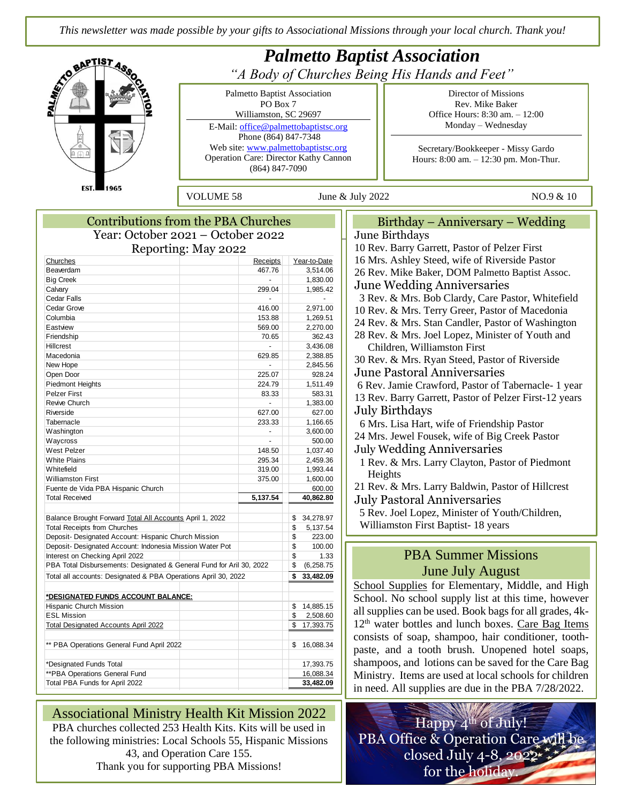*This newsletter was made possible by your gifts to Associational Missions through your local church. Thank you!*



| <b>Contributions from the PBA Churches</b>                           |                 |                   |
|----------------------------------------------------------------------|-----------------|-------------------|
| Year: October 2021 – October 2022                                    |                 |                   |
| Reporting: May 2022                                                  |                 |                   |
| Churches                                                             | <b>Receipts</b> | Year-to-Date      |
| Beaverdam                                                            | 467.76          | 3,514.06          |
| <b>Big Creek</b>                                                     |                 | 1,830.00          |
| Calvary                                                              | 299.04          | 1,985.42          |
| Cedar Falls                                                          |                 |                   |
| Cedar Grove                                                          | 416.00          | 2,971.00          |
| Columbia                                                             | 153.88          | 1,269.51          |
| Eastview                                                             | 569.00          | 2,270.00          |
| Friendship                                                           | 70.65           | 362.43            |
| Hillcrest                                                            |                 | 3,436.08          |
| Macedonia                                                            | 629.85          | 2,388.85          |
| New Hope                                                             |                 | 2,845.56          |
| Open Door                                                            | 225.07          | 928.24            |
| <b>Piedmont Heights</b>                                              | 224.79          | 1,511.49          |
| <b>Pelzer First</b>                                                  | 83.33           | 583.31            |
| Revive Church                                                        |                 | 1,383.00          |
| Riverside                                                            | 627.00          | 627.00            |
| Tabernacle                                                           | 233.33          | 1,166.65          |
| Washington                                                           |                 | 3,600.00          |
| Waycross                                                             |                 | 500.00            |
| West Pelzer                                                          | 148.50          | 1,037.40          |
| <b>White Plains</b>                                                  | 295.34          | 2,459.36          |
| Whitefield                                                           | 319.00          | 1,993.44          |
| <b>Williamston First</b>                                             | 375.00          | 1,600.00          |
| Fuente de Vida PBA Hispanic Church                                   |                 | 600.00            |
| <b>Total Received</b>                                                | 5,137.54        | 40,862.80         |
| Balance Brought Forward Total All Accounts April 1, 2022             |                 | 34,278.97<br>\$   |
| <b>Total Receipts from Churches</b>                                  |                 | \$<br>5,137.54    |
| Deposit- Designated Account: Hispanic Church Mission                 |                 | \$<br>223.00      |
| Deposit- Designated Account: Indonesia Mission Water Pot             |                 | \$<br>100.00      |
| Interest on Checking April 2022                                      |                 | \$<br>1.33        |
| PBA Total Disbursements: Designated & General Fund for Aril 30, 2022 |                 | \$<br>(6, 258.75) |
| Total all accounts: Designated & PBA Operations April 30, 2022       |                 | 33,482.09<br>\$   |
|                                                                      |                 |                   |
| *DESIGNATED FUNDS ACCOUNT BALANCE:                                   |                 |                   |
| Hispanic Church Mission                                              |                 | \$<br>14,885.15   |
| <b>ESL Mission</b>                                                   |                 | \$<br>2,508.60    |
| <b>Total Designated Accounts April 2022</b>                          |                 | 17,393.75<br>\$   |
| ** PBA Operations General Fund April 2022                            |                 | \$<br>16,088.34   |
| *Designated Funds Total                                              |                 | 17,393.75         |
| **PBA Operations General Fund                                        |                 | 16,088.34         |
| Total PBA Funds for April 2022                                       |                 | 33,482.09         |
|                                                                      |                 |                   |

Associational Ministry Health Kit Mission 2022

PBA churches collected 253 Health Kits. Kits will be used in the following ministries: Local Schools 55, Hispanic Missions 43, and Operation Care 155. Thank you for supporting PBA Missions!

Birthday – Anniversary – Wedding Iune Birthdays 10 Rev. Barry Garrett, Pastor of Pelzer First 16 Mrs. Ashley Steed, wife of Riverside Pastor 26 Rev. Mike Baker, DOM Palmetto Baptist Assoc. Iune Wedding Anniversaries 3 Rev. & Mrs. Bob Clardy, Care Pastor, Whitefield 10 Rev. & Mrs. Terry Greer, Pastor of Macedonia 24 Rev. & Mrs. Stan Candler, Pastor of Washington 28 Rev. & Mrs. Joel Lopez, Minister of Youth and Children, Williamston First 30 Rev. & Mrs. Ryan Steed, Pastor of Riverside June Pastoral Anniversaries 6 Rev. Jamie Crawford, Pastor of Tabernacle- 1 year 13 Rev. Barry Garrett, Pastor of Pelzer First-12 years July Birthdays 6 Mrs. Lisa Hart, wife of Friendship Pastor 24 Mrs. Jewel Fousek, wife of Big Creek Pastor uly Wedding Anniversaries 1 Rev. & Mrs. Larry Clayton, Pastor of Piedmont Heights 21 Rev. & Mrs. Larry Baldwin, Pastor of Hillcrest Iuly Pastoral Anniversaries

 5 Rev. Joel Lopez, Minister of Youth/Children, Williamston First Baptist- 18 years

## June July August PBA Summer Missions

chool Supplies for Elementary, Middle, and High chool. No school supply list at this time, however all supplies can be used. Book bags for all grades, 4k-2<sup>th</sup> water bottles and lunch boxes. Care Bag Items consists of soap, shampoo, hair conditioner, toothaste, and a tooth brush. Unopened hotel soaps, hampoos, and lotions can be saved for the Care Bag Ministry. Items are used at local schools for children in need. All supplies are due in the PBA 7/28/2022.

Happy 4<sup>th</sup> of July! PBA Office & Operation Care will be closed July 4-8, 2022 for the holiday